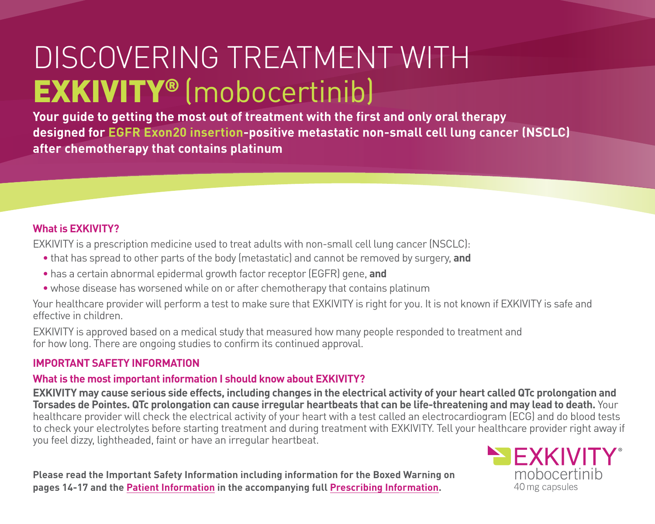# DISCOVERING TREATMENT WITH EXKIVITY® (mobocertinib)

**Your guide to getting the most out of treatment with the first and only oral therapy designed for EGFR Exon20 insertion-positive metastatic non-small cell lung cancer (NSCLC) after chemotherapy that contains platinum**

#### **What is EXKIVITY?**

EXKIVITY is a prescription medicine used to treat adults with non-small cell lung cancer (NSCLC):

- that has spread to other parts of the body (metastatic) and cannot be removed by surgery, **and**
- has a certain abnormal epidermal growth factor receptor (EGFR) gene, **and**
- whose disease has worsened while on or after chemotherapy that contains platinum

Your healthcare provider will perform a test to make sure that EXKIVITY is right for you. It is not known if EXKIVITY is safe and effective in children.

EXKIVITY is approved based on a medical study that measured how many people responded to treatment and for how long. There are ongoing studies to confirm its continued approval.

### **IMPORTANT SAFETY INFORMATION**

### **What is the most important information I should know about EXKIVITY?**

**EXKIVITY may cause serious side effects, including changes in the electrical activity of your heart called QTc prolongation and Torsades de Pointes. QTc prolongation can cause irregular heartbeats that can be life-threatening and may lead to death.** Your healthcare provider will check the electrical activity of your heart with a test called an electrocardiogram (ECG) and do blood tests to check your electrolytes before starting treatment and during treatment with EXKIVITY. Tell your healthcare provider right away if you feel dizzy, lightheaded, faint or have an irregular heartbeat.

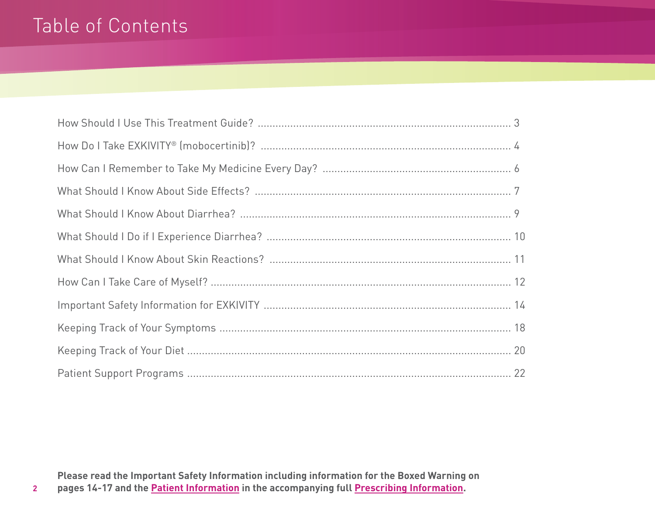# Table of Contents

**Please read the Important Safety Information including information for the Boxed Warning on pages 14-17 and th[e Patient Information i](https://content.takeda.com/?contenttype=patientinfo&product=exkivity&language=eng&country=usa&documentnumber=1)n the accompanying ful[l Prescribing Information.](https://content.takeda.com/?contenttype=pi&product=exkivity&language=eng&country=usa&documentnumber=1)**

**2**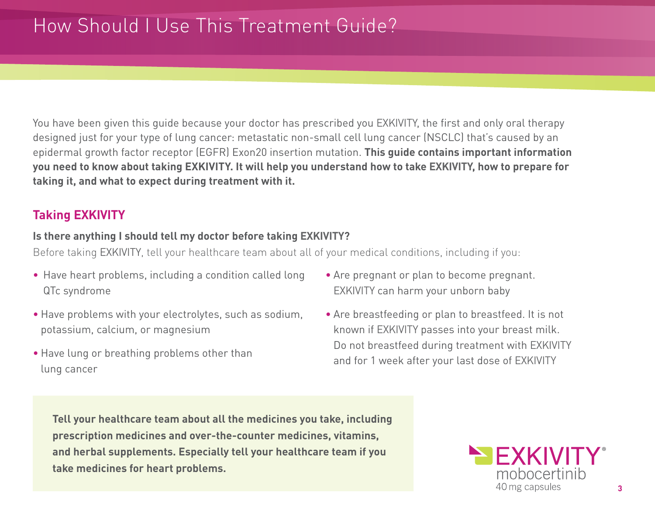# How Should I Use This Treatment Guide?

You have been given this guide because your doctor has prescribed you EXKIVITY, the first and only oral therapy designed just for your type of lung cancer: metastatic non-small cell lung cancer (NSCLC) that's caused by an epidermal growth factor receptor (EGFR) Exon20 insertion mutation. **This guide contains important information you need to know about taking EXKIVITY. It will help you understand how to take EXKIVITY, how to prepare for taking it, and what to expect during treatment with it.**

### **Taking EXKIVITY**

#### **Is there anything I should tell my doctor before taking EXKIVITY?**

Before taking EXKIVITY, tell your healthcare team about all of your medical conditions, including if you:

- Have heart problems, including a condition called long QTc syndrome
- Have problems with your electrolytes, such as sodium, potassium, calcium, or magnesium
- Have lung or breathing problems other than lung cancer
- Are pregnant or plan to become pregnant. EXKIVITY can harm your unborn baby
- Are breastfeeding or plan to breastfeed. It is not known if EXKIVITY passes into your breast milk. Do not breastfeed during treatment with EXKIVITY and for 1 week after your last dose of EXKIVITY

**Tell your healthcare team about all the medicines you take, including prescription medicines and over-the-counter medicines, vitamins, and herbal supplements. Especially tell your healthcare team if you take medicines for heart problems.**

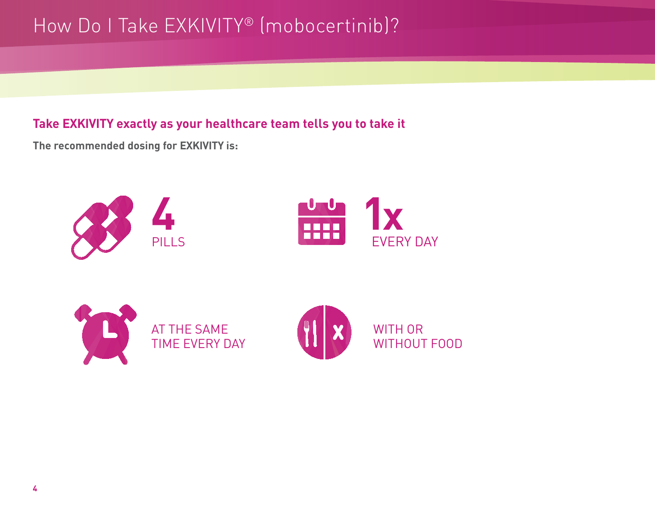# How Do I Take EXKIVITY® (mobocertinib)?

### **Take EXKIVITY exactly as your healthcare team tells you to take it**

**The recommended dosing for EXKIVITY is:**





AT THE SAME TIME EVERY DAY

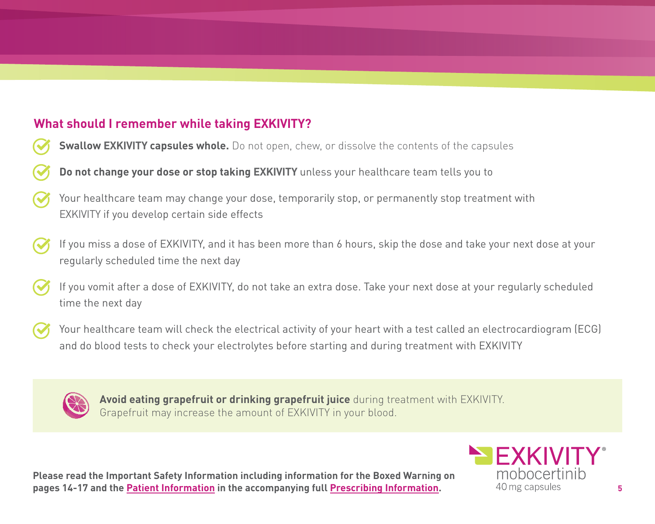## **What should I remember while taking EXKIVITY?**

- **Swallow EXKIVITY capsules whole.** Do not open, chew, or dissolve the contents of the capsules
- **Do not change your dose or stop taking EXKIVITY** unless your healthcare team tells you to
- Your healthcare team may change your dose, temporarily stop, or permanently stop treatment with EXKIVITY if you develop certain side effects
- If you miss a dose of EXKIVITY, and it has been more than 6 hours, skip the dose and take your next dose at your regularly scheduled time the next day
- If you vomit after a dose of EXKIVITY, do not take an extra dose. Take your next dose at your regularly scheduled time the next day
- Your healthcare team will check the electrical activity of your heart with a test called an electrocardiogram (ECG) and do blood tests to check your electrolytes before starting and during treatment with EXKIVITY



**Avoid eating grapefruit or drinking grapefruit juice** during treatment with EXKIVITY. Grapefruit may increase the amount of EXKIVITY in your blood.

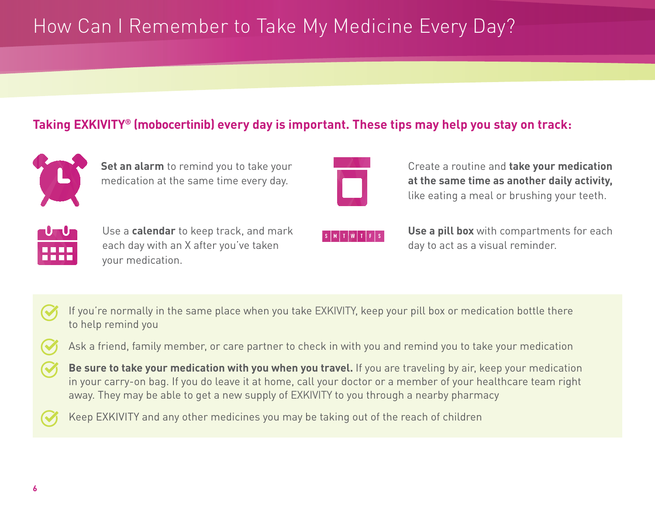# How Can I Remember to Take My Medicine Every Day?

### **Taking EXKIVITY® (mobocertinib) every day is important. These tips may help you stay on track:**



**Set an alarm** to remind you to take your medication at the same time every day.



Create a routine and **take your medication at the same time as another daily activity,**  like eating a meal or brushing your teeth.



Use a **calendar** to keep track, and mark each day with an X after you've taken your medication.

**Use a pill box** with compartments for each day to act as a visual reminder.

If you're normally in the same place when you take EXKIVITY, keep your pill box or medication bottle there to help remind you

Ask a friend, family member, or care partner to check in with you and remind you to take your medication

**Be sure to take your medication with you when you travel.** If you are traveling by air, keep your medication in your carry-on bag. If you do leave it at home, call your doctor or a member of your healthcare team right away. They may be able to get a new supply of EXKIVITY to you through a nearby pharmacy

Keep EXKIVITY and any other medicines you may be taking out of the reach of children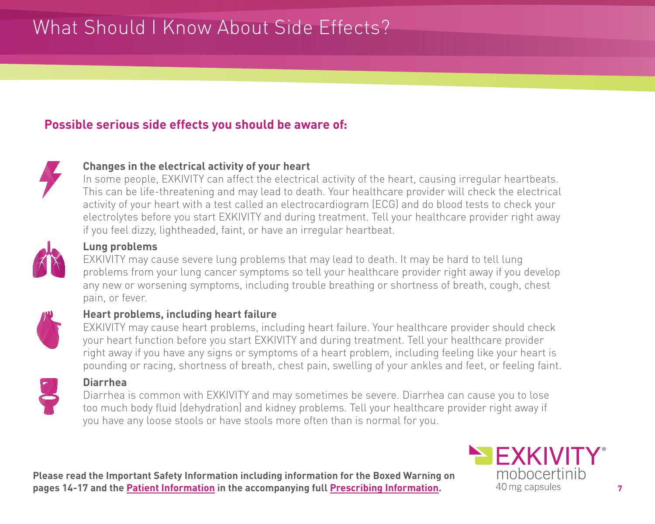# What Should I Know About Side Effects?

### **Possible serious side effects you should be aware of:**



#### **Changes in the electrical activity of your heart**

In some people, EXKIVITY can affect the electrical activity of the heart, causing irregular heartbeats. This can be life-threatening and may lead to death. Your healthcare provider will check the electrical activity of your heart with a test called an electrocardiogram (ECG) and do blood tests to check your electrolytes before you start EXKIVITY and during treatment. Tell your healthcare provider right away if you feel dizzy, lightheaded, faint, or have an irregular heartbeat.



#### **Lung problems**

EXKIVITY may cause severe lung problems that may lead to death. It may be hard to tell lung problems from your lung cancer symptoms so tell your healthcare provider right away if you develop any new or worsening symptoms, including trouble breathing or shortness of breath, cough, chest pain, or fever.



#### **Heart problems, including heart failure**

EXKIVITY may cause heart problems, including heart failure. Your healthcare provider should check your heart function before you start EXKIVITY and during treatment. Tell your healthcare provider right away if you have any signs or symptoms of a heart problem, including feeling like your heart is pounding or racing, shortness of breath, chest pain, swelling of your ankles and feet, or feeling faint.



#### **Diarrhea**

Diarrhea is common with EXKIVITY and may sometimes be severe. Diarrhea can cause you to lose too much body fluid (dehydration) and kidney problems. Tell your healthcare provider right away if you have any loose stools or have stools more often than is normal for you.

**Please read the Important Safety Information including information for the Boxed Warning on pages 14-17 and th[e Patient Information i](https://content.takeda.com/?contenttype=patientinfo&product=exkivity&language=eng&country=usa&documentnumber=1)n the accompanying ful[l Prescribing Information.](https://content.takeda.com/?contenttype=pi&product=exkivity&language=eng&country=usa&documentnumber=1)** 40 mg capsules **7** 

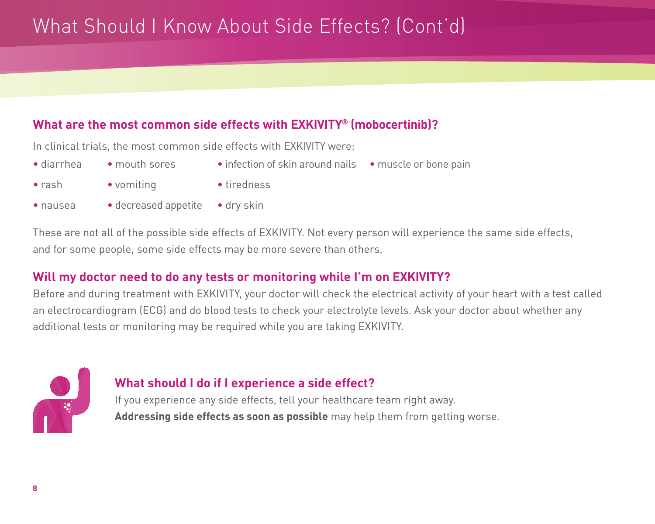# What Should I Know About Side Effects? (Cont'd)

### **What are the most common side effects with EXKIVITY® (mobocertinib)?**

In clinical trials, the most common side effects with EXKIVITY were:

- diarrhea
- mouth sores
- infection of skin around nails • muscle or bone pain

- rash
- vomiting
- tiredness

- nausea
- decreased appetite dry skin

These are not all of the possible side effects of EXKIVITY. Not every person will experience the same side effects, and for some people, some side effects may be more severe than others.

### **Will my doctor need to do any tests or monitoring while I'm on EXKIVITY?**

Before and during treatment with EXKIVITY, your doctor will check the electrical activity of your heart with a test called an electrocardiogram (ECG) and do blood tests to check your electrolyte levels. Ask your doctor about whether any additional tests or monitoring may be required while you are taking EXKIVITY.



### **What should I do if I experience a side effect?**

If you experience any side effects, tell your healthcare team right away. **Addressing side effects as soon as possible** may help them from getting worse.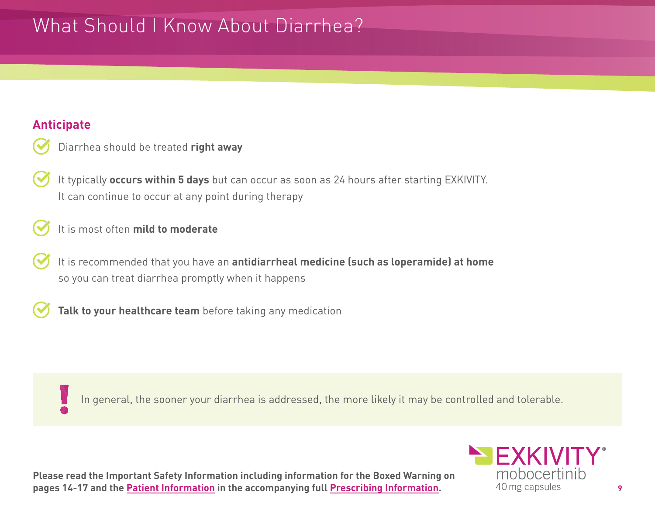# What Should I Know About Diarrhea?

### **Anticipate**

| Diarrhea should be treated right away |  |  |  |
|---------------------------------------|--|--|--|
|                                       |  |  |  |

- It typically **occurs within 5 days** but can occur as soon as 24 hours after starting EXKIVITY. It can continue to occur at any point during therapy
- It is most often **mild to moderate**
- It is recommended that you have an **antidiarrheal medicine (such as loperamide) at home** so you can treat diarrhea promptly when it happens
- **Talk to your healthcare team** before taking any medication

In general, the sooner your diarrhea is addressed, the more likely it may be controlled and tolerable.

**Please read the Important Safety Information including information for the Boxed Warning on pages 14-17 and th[e Patient Information i](https://content.takeda.com/?contenttype=patientinfo&product=exkivity&language=eng&country=usa&documentnumber=1)n the accompanying ful[l Prescribing Information.](https://content.takeda.com/?contenttype=pi&product=exkivity&language=eng&country=usa&documentnumber=1)** 40 mg capsules **9** 

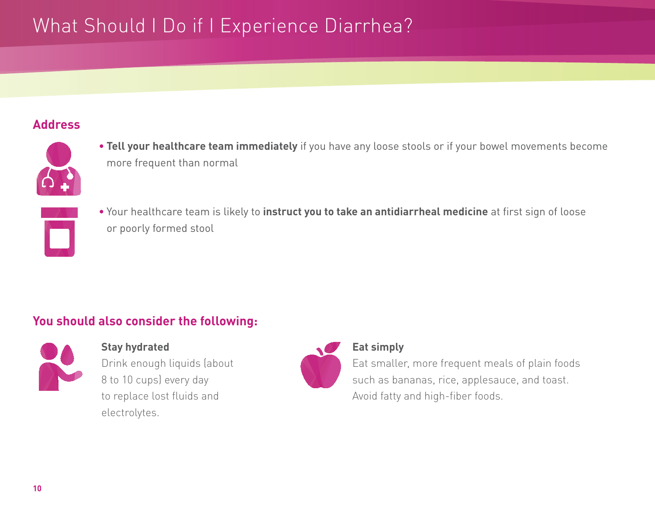# What Should I Do if I Experience Diarrhea?

### **Address**



- **Tell your healthcare team immediately** if you have any loose stools or if your bowel movements become more frequent than normal
- Your healthcare team is likely to **instruct you to take an antidiarrheal medicine** at first sign of loose or poorly formed stool

### **You should also consider the following:**



### **Stay hydrated**

Drink enough liquids (about 8 to 10 cups) every day to replace lost fluids and electrolytes.



#### **Eat simply**

Eat smaller, more frequent meals of plain foods such as bananas, rice, applesauce, and toast. Avoid fatty and high-fiber foods.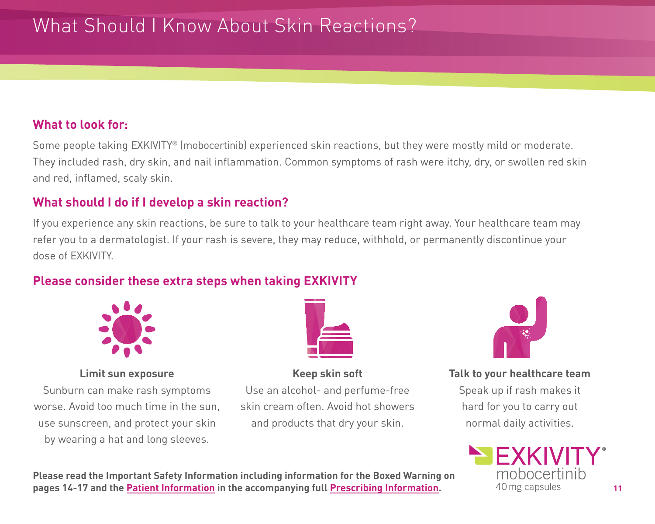# What Should I Know About Skin Reactions?

### **What to look for:**

Some people taking EXKIVITY® (mobocertinib) experienced skin reactions, but they were mostly mild or moderate. They included rash, dry skin, and nail inflammation. Common symptoms of rash were itchy, dry, or swollen red skin and red, inflamed, scaly skin.

### **What should I do if I develop a skin reaction?**

If you experience any skin reactions, be sure to talk to your healthcare team right away. Your healthcare team may refer you to a dermatologist. If your rash is severe, they may reduce, withhold, or permanently discontinue your dose of EXKIVITY.

### **Please consider these extra steps when taking EXKIVITY**



#### **Limit sun exposure**

Sunburn can make rash symptoms worse. Avoid too much time in the sun, use sunscreen, and protect your skin by wearing a hat and long sleeves.



### **Keep skin soft** Use an alcohol- and perfume-free skin cream often. Avoid hot showers and products that dry your skin.



**Talk to your healthcare team**

Speak up if rash makes it hard for you to carry out normal daily activities.

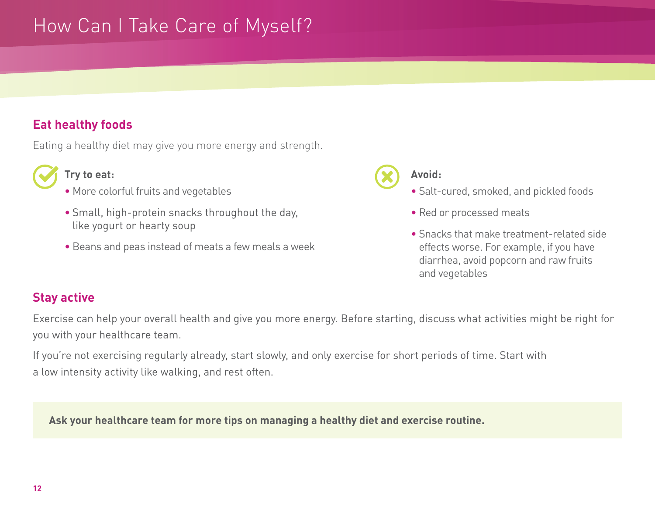# How Can I Take Care of Myself?

### **Eat healthy foods**

Eating a healthy diet may give you more energy and strength.



#### **Try to eat:**

- More colorful fruits and vegetables
- Small, high-protein snacks throughout the day, like yogurt or hearty soup
- Beans and peas instead of meats a few meals a week



#### **Avoid:**

- Salt-cured, smoked, and pickled foods
- Red or processed meats
- Snacks that make treatment-related side effects worse. For example, if you have diarrhea, avoid popcorn and raw fruits and vegetables

### **Stay active**

Exercise can help your overall health and give you more energy. Before starting, discuss what activities might be right for you with your healthcare team.

If you're not exercising regularly already, start slowly, and only exercise for short periods of time. Start with a low intensity activity like walking, and rest often.

**Ask your healthcare team for more tips on managing a healthy diet and exercise routine.**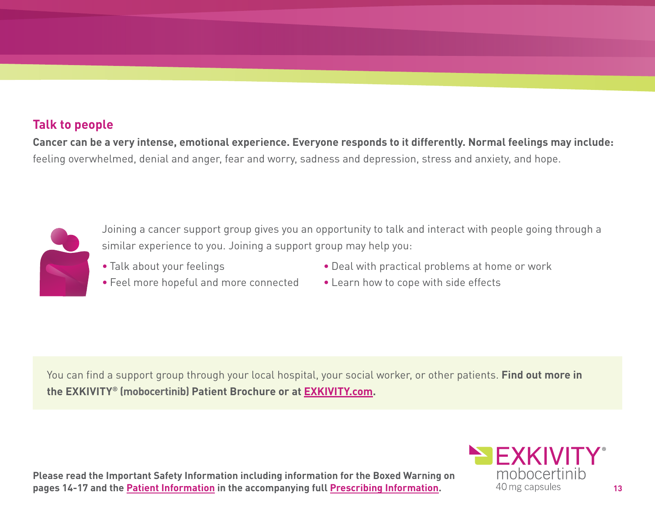### **Talk to people**

**Cancer can be a very intense, emotional experience. Everyone responds to it differently. Normal feelings may include:**  feeling overwhelmed, denial and anger, fear and worry, sadness and depression, stress and anxiety, and hope.



Joining a cancer support group gives you an opportunity to talk and interact with people going through a similar experience to you. Joining a support group may help you:

• Talk about your feelings

- Deal with practical problems at home or work
- Feel more hopeful and more connected
- Learn how to cope with side effects

You can find a support group through your local hospital, your social worker, or other patients. **Find out more in the EXKIVITY® (mobocertinib) Patient Brochure or a[t EXKIVITY.com.](http://exkivity.com)**

**Please read the Important Safety Information including information for the Boxed Warning on pages 14-17 and th[e Patient Information i](https://content.takeda.com/?contenttype=patientinfo&product=exkivity&language=eng&country=usa&documentnumber=1)n the accompanying ful[l Prescribing Information.](https://content.takeda.com/?contenttype=pi&product=exkivity&language=eng&country=usa&documentnumber=1)** 40 mg capsules **13** 

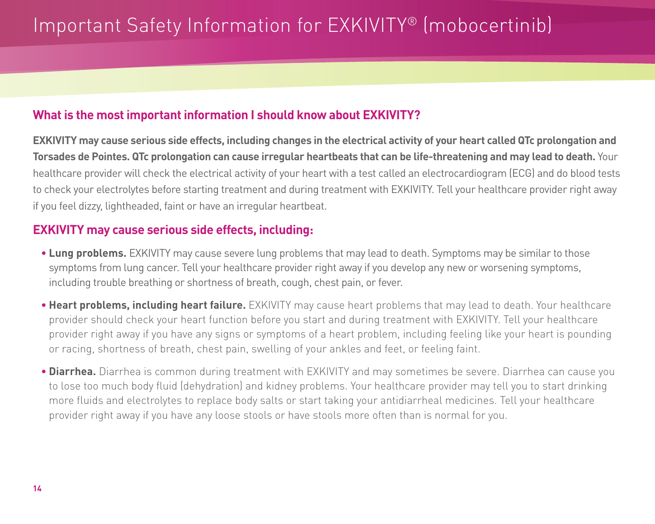# Important Safety Information for EXKIVITY® (mobocertinib)

### **What is the most important information I should know about EXKIVITY?**

**EXKIVITY may cause serious side effects, including changes in the electrical activity of your heart called QTc prolongation and Torsades de Pointes. QTc prolongation can cause irregular heartbeats that can be life-threatening and may lead to death.** Your healthcare provider will check the electrical activity of your heart with a test called an electrocardiogram (ECG) and do blood tests to check your electrolytes before starting treatment and during treatment with EXKIVITY. Tell your healthcare provider right away if you feel dizzy, lightheaded, faint or have an irregular heartbeat.

### **EXKIVITY may cause serious side effects, including:**

- **Lung problems.** EXKIVITY may cause severe lung problems that may lead to death. Symptoms may be similar to those symptoms from lung cancer. Tell your healthcare provider right away if you develop any new or worsening symptoms, including trouble breathing or shortness of breath, cough, chest pain, or fever.
- **Heart problems, including heart failure.** EXKIVITY may cause heart problems that may lead to death. Your healthcare provider should check your heart function before you start and during treatment with EXKIVITY. Tell your healthcare provider right away if you have any signs or symptoms of a heart problem, including feeling like your heart is pounding or racing, shortness of breath, chest pain, swelling of your ankles and feet, or feeling faint.
- **Diarrhea.** Diarrhea is common during treatment with EXKIVITY and may sometimes be severe. Diarrhea can cause you to lose too much body fluid (dehydration) and kidney problems. Your healthcare provider may tell you to start drinking more fluids and electrolytes to replace body salts or start taking your antidiarrheal medicines. Tell your healthcare provider right away if you have any loose stools or have stools more often than is normal for you.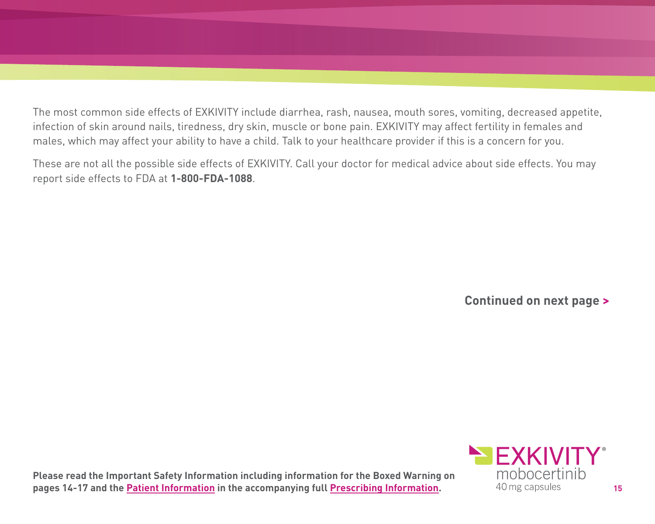The most common side effects of EXKIVITY include diarrhea, rash, nausea, mouth sores, vomiting, decreased appetite, infection of skin around nails, tiredness, dry skin, muscle or bone pain. EXKIVITY may affect fertility in females and males, which may affect your ability to have a child. Talk to your healthcare provider if this is a concern for you.

These are not all the possible side effects of EXKIVITY. Call your doctor for medical advice about side effects. You may report side effects to FDA at **1-800-FDA-1088**.

**Continued on next page >**

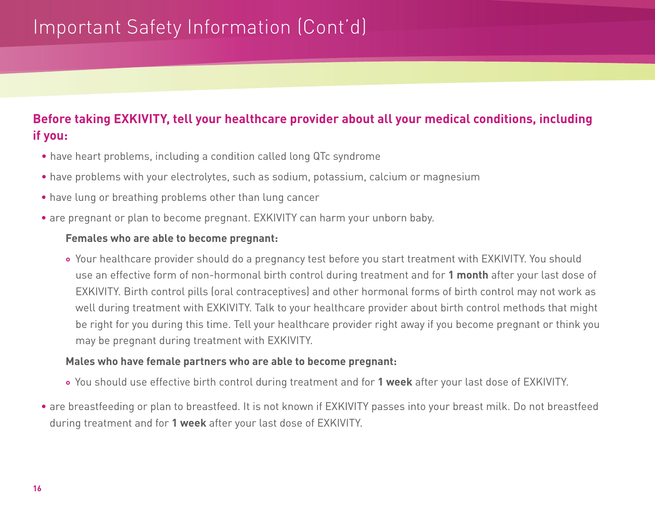# Important Safety Information (Cont'd)

## **Before taking EXKIVITY, tell your healthcare provider about all your medical conditions, including if you:**

- have heart problems, including a condition called long QTc syndrome
- have problems with your electrolytes, such as sodium, potassium, calcium or magnesium
- have lung or breathing problems other than lung cancer
- are pregnant or plan to become pregnant. EXKIVITY can harm your unborn baby.

#### **Females who are able to become pregnant:**

• Your healthcare provider should do a pregnancy test before you start treatment with EXKIVITY. You should use an effective form of non-hormonal birth control during treatment and for **1 month** after your last dose of EXKIVITY. Birth control pills (oral contraceptives) and other hormonal forms of birth control may not work as well during treatment with EXKIVITY. Talk to your healthcare provider about birth control methods that might be right for you during this time. Tell your healthcare provider right away if you become pregnant or think you may be pregnant during treatment with EXKIVITY.

#### **Males who have female partners who are able to become pregnant:**

- You should use effective birth control during treatment and for **1 week** after your last dose of EXKIVITY.
- are breastfeeding or plan to breastfeed. It is not known if EXKIVITY passes into your breast milk. Do not breastfeed during treatment and for **1 week** after your last dose of EXKIVITY.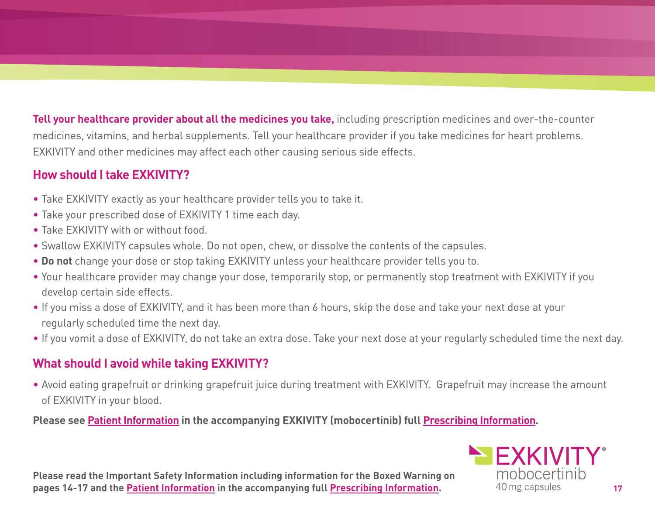**Tell your healthcare provider about all the medicines you take,** including prescription medicines and over-the-counter medicines, vitamins, and herbal supplements. Tell your healthcare provider if you take medicines for heart problems. EXKIVITY and other medicines may affect each other causing serious side effects.

### **How should I take EXKIVITY?**

- Take EXKIVITY exactly as your healthcare provider tells you to take it.
- Take your prescribed dose of EXKIVITY 1 time each day.
- Take EXKIVITY with or without food.
- Swallow EXKIVITY capsules whole. Do not open, chew, or dissolve the contents of the capsules.
- **Do not** change your dose or stop taking EXKIVITY unless your healthcare provider tells you to.
- Your healthcare provider may change your dose, temporarily stop, or permanently stop treatment with EXKIVITY if you develop certain side effects.
- If you miss a dose of EXKIVITY, and it has been more than 6 hours, skip the dose and take your next dose at your regularly scheduled time the next day.
- If you vomit a dose of EXKIVITY, do not take an extra dose. Take your next dose at your regularly scheduled time the next day.

## **What should I avoid while taking EXKIVITY?**

• Avoid eating grapefruit or drinking grapefruit juice during treatment with EXKIVITY. Grapefruit may increase the amount of EXKIVITY in your blood.

**Please se[e Patient Information i](https://content.takeda.com/?contenttype=patientinfo&product=exkivity&language=eng&country=usa&documentnumber=1)n the accompanying EXKIVITY (mobocertinib) ful[l Prescribing Information.](https://content.takeda.com/?contenttype=pi&product=exkivity&language=eng&country=usa&documentnumber=1)**

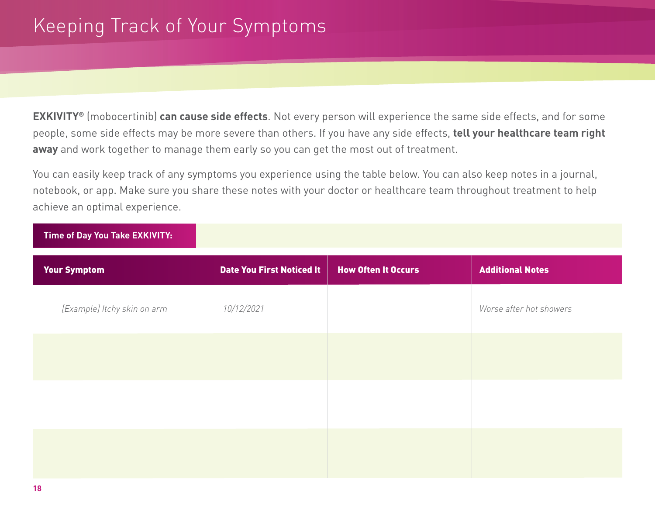**EXKIVITY®** (mobocertinib) **can cause side effects**. Not every person will experience the same side effects, and for some people, some side effects may be more severe than others. If you have any side effects, **tell your healthcare team right away** and work together to manage them early so you can get the most out of treatment.

You can easily keep track of any symptoms you experience using the table below. You can also keep notes in a journal, notebook, or app. Make sure you share these notes with your doctor or healthcare team throughout treatment to help achieve an optimal experience.

| Time of Day You Take EXKIVITY: |                                  |                            |                         |
|--------------------------------|----------------------------------|----------------------------|-------------------------|
| <b>Your Symptom</b>            | <b>Date You First Noticed It</b> | <b>How Often It Occurs</b> | <b>Additional Notes</b> |
| [Example] Itchy skin on arm    | 10/12/2021                       |                            | Worse after hot showers |
|                                |                                  |                            |                         |
|                                |                                  |                            |                         |
|                                |                                  |                            |                         |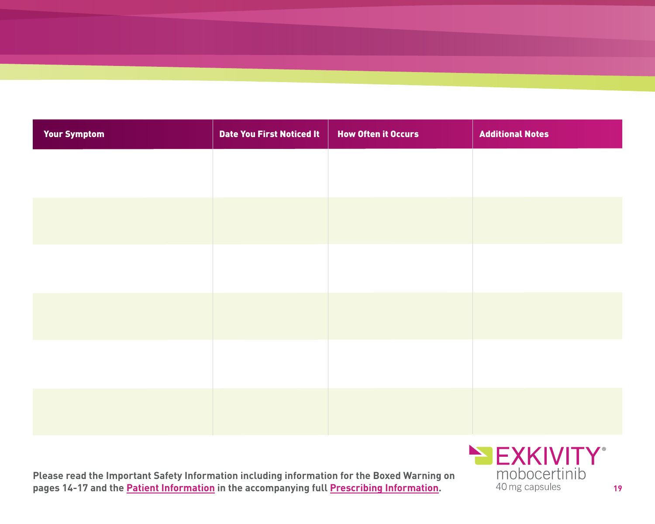| <b>Your Symptom</b> | <b>Date You First Noticed It</b> | <b>How Often it Occurs</b> | <b>Additional Notes</b> |
|---------------------|----------------------------------|----------------------------|-------------------------|
|                     |                                  |                            |                         |
|                     |                                  |                            |                         |
|                     |                                  |                            |                         |
|                     |                                  |                            |                         |
|                     |                                  |                            |                         |
|                     |                                  |                            |                         |
|                     |                                  |                            |                         |
|                     |                                  |                            |                         |
|                     |                                  |                            |                         |

**Please read the Important Safety Information including information for the Boxed Warning on pages 14-17 and th[e Patient Information i](https://content.takeda.com/?contenttype=patientinfo&product=exkivity&language=eng&country=usa&documentnumber=1)n the accompanying ful[l Prescribing Information.](https://content.takeda.com/?contenttype=pi&product=exkivity&language=eng&country=usa&documentnumber=1)** 40 mg capsules **19** 

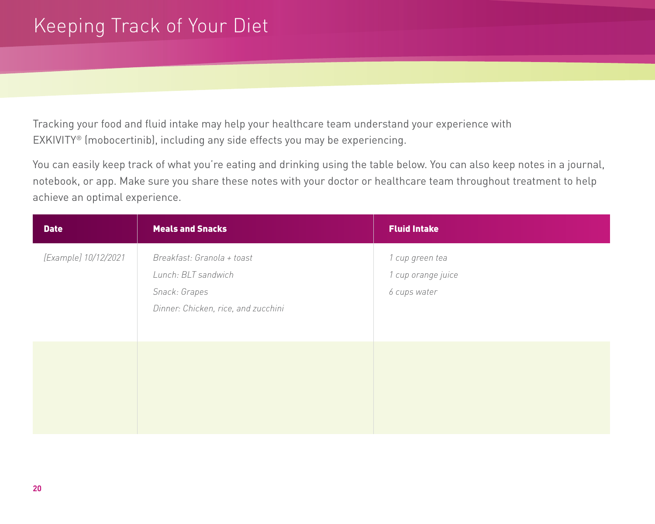# Keeping Track of Your Diet

Tracking your food and fluid intake may help your healthcare team understand your experience with EXKIVITY® (mobocertinib), including any side effects you may be experiencing.

You can easily keep track of what you're eating and drinking using the table below. You can also keep notes in a journal, notebook, or app. Make sure you share these notes with your doctor or healthcare team throughout treatment to help achieve an optimal experience.

| <b>Date</b>          | <b>Meals and Snacks</b>                                                                                   | <b>Fluid Intake</b>                                   |
|----------------------|-----------------------------------------------------------------------------------------------------------|-------------------------------------------------------|
| [Example] 10/12/2021 | Breakfast: Granola + toast<br>Lunch: BLT sandwich<br>Snack: Grapes<br>Dinner: Chicken, rice, and zucchini | 1 cup green tea<br>1 cup orange juice<br>6 cups water |
|                      |                                                                                                           |                                                       |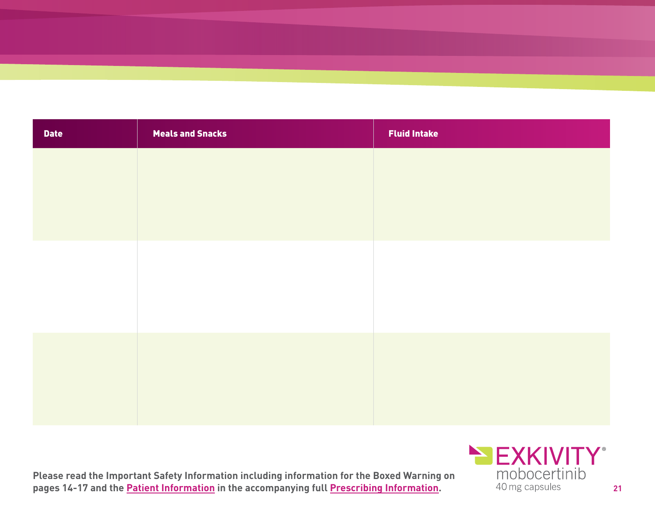| <b>Date</b> | <b>Meals and Snacks</b> | <b>Fluid Intake</b> |
|-------------|-------------------------|---------------------|
|             |                         |                     |
|             |                         |                     |
|             |                         |                     |
|             |                         |                     |
|             |                         |                     |
|             |                         |                     |
|             |                         |                     |
|             |                         |                     |
|             |                         |                     |